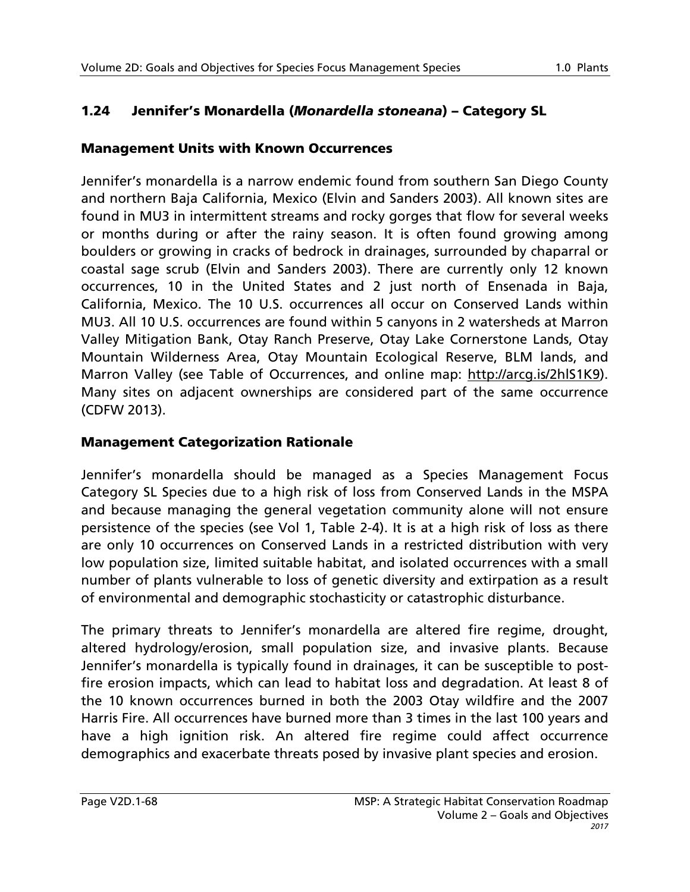# 1.24 Jennifer's Monardella (*Monardella stoneana*) – Category SL

#### Management Units with Known Occurrences

Jennifer's monardella is a narrow endemic found from southern San Diego County and northern Baja California, Mexico (Elvin and Sanders 2003). All known sites are found in MU3 in intermittent streams and rocky gorges that flow for several weeks or months during or after the rainy season. It is often found growing among boulders or growing in cracks of bedrock in drainages, surrounded by chaparral or coastal sage scrub (Elvin and Sanders 2003). There are currently only 12 known occurrences, 10 in the United States and 2 just north of Ensenada in Baja, California, Mexico. The 10 U.S. occurrences all occur on Conserved Lands within MU3. All 10 U.S. occurrences are found within 5 canyons in 2 watersheds at Marron Valley Mitigation Bank, Otay Ranch Preserve, Otay Lake Cornerstone Lands, Otay Mountain Wilderness Area, Otay Mountain Ecological Reserve, BLM lands, and Marron Valley (see Table of Occurrences, and online map: http://arcq.is/2hlS1K9). Many sites on adjacent ownerships are considered part of the same occurrence (CDFW 2013).

### Management Categorization Rationale

Jennifer's monardella should be managed as a Species Management Focus Category SL Species due to a high risk of loss from Conserved Lands in the MSPA and because managing the general vegetation community alone will not ensure persistence of the species (see Vol 1, Table 2-4). It is at a high risk of loss as there are only 10 occurrences on Conserved Lands in a restricted distribution with very low population size, limited suitable habitat, and isolated occurrences with a small number of plants vulnerable to loss of genetic diversity and extirpation as a result of environmental and demographic stochasticity or catastrophic disturbance.

The primary threats to Jennifer's monardella are altered fire regime, drought, altered hydrology/erosion, small population size, and invasive plants. Because Jennifer's monardella is typically found in drainages, it can be susceptible to postfire erosion impacts, which can lead to habitat loss and degradation. At least 8 of the 10 known occurrences burned in both the 2003 Otay wildfire and the 2007 Harris Fire. All occurrences have burned more than 3 times in the last 100 years and have a high ignition risk. An altered fire regime could affect occurrence demographics and exacerbate threats posed by invasive plant species and erosion.